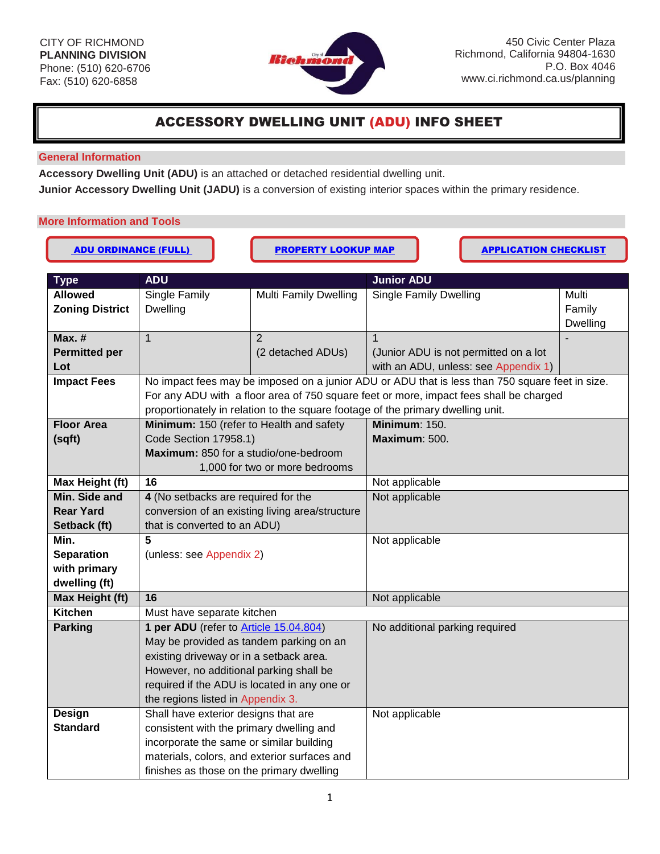

# ACCESSORY DWELLING UNIT (ADU) INFO SHEET

## **General Information**

**Accessory Dwelling Unit (ADU)** is an attached or detached residential dwelling unit.

**Junior Accessory Dwelling Unit (JADU)** is a conversion of existing interior spaces within the primary residence.

# **More Information and Tools**

| <b>ADU ORDINANCE (FULL)</b> |                                                                                   | <b>PROPERTY LOOKUP MAP</b>     |                                                                                                  | <b>APPLICATION CHECKLIST</b>         |                           |  |
|-----------------------------|-----------------------------------------------------------------------------------|--------------------------------|--------------------------------------------------------------------------------------------------|--------------------------------------|---------------------------|--|
| <b>Type</b>                 | <b>ADU</b><br><b>Junior ADU</b>                                                   |                                |                                                                                                  |                                      |                           |  |
| <b>Allowed</b>              | Single Family                                                                     | <b>Multi Family Dwelling</b>   | <b>Single Family Dwelling</b>                                                                    |                                      | Multi                     |  |
| <b>Zoning District</b>      | <b>Dwelling</b>                                                                   |                                |                                                                                                  |                                      | Family<br><b>Dwelling</b> |  |
| $Max.$ #                    | $\mathbf{1}$                                                                      | 2                              | $\mathbf 1$                                                                                      |                                      |                           |  |
| <b>Permitted per</b><br>Lot |                                                                                   | (2 detached ADUs)              | (Junior ADU is not permitted on a lot                                                            | with an ADU, unless: see Appendix 1) |                           |  |
| <b>Impact Fees</b>          |                                                                                   |                                | No impact fees may be imposed on a junior ADU or ADU that is less than 750 square feet in size.  |                                      |                           |  |
|                             |                                                                                   |                                | For any ADU with a floor area of 750 square feet or more, impact fees shall be charged           |                                      |                           |  |
|                             |                                                                                   |                                | proportionately in relation to the square footage of the primary dwelling unit.<br>Minimum: 150. |                                      |                           |  |
| <b>Floor Area</b>           | Minimum: 150 (refer to Health and safety<br>Code Section 17958.1)                 |                                | Maximum: 500.                                                                                    |                                      |                           |  |
| (sqft)                      | Maximum: 850 for a studio/one-bedroom                                             |                                |                                                                                                  |                                      |                           |  |
|                             |                                                                                   | 1,000 for two or more bedrooms |                                                                                                  |                                      |                           |  |
| Max Height (ft)             | 16                                                                                |                                | Not applicable                                                                                   |                                      |                           |  |
| Min. Side and               | 4 (No setbacks are required for the                                               |                                | Not applicable                                                                                   |                                      |                           |  |
| <b>Rear Yard</b>            | conversion of an existing living area/structure                                   |                                |                                                                                                  |                                      |                           |  |
| Setback (ft)                | that is converted to an ADU)                                                      |                                |                                                                                                  |                                      |                           |  |
| Min.                        | 5                                                                                 |                                | Not applicable                                                                                   |                                      |                           |  |
| <b>Separation</b>           | (unless: see Appendix 2)                                                          |                                |                                                                                                  |                                      |                           |  |
| with primary                |                                                                                   |                                |                                                                                                  |                                      |                           |  |
| dwelling (ft)               |                                                                                   |                                |                                                                                                  |                                      |                           |  |
| Max Height (ft)             | 16                                                                                |                                | Not applicable                                                                                   |                                      |                           |  |
| <b>Kitchen</b>              | Must have separate kitchen                                                        |                                |                                                                                                  |                                      |                           |  |
| <b>Parking</b>              | 1 per ADU (refer to Article 15.04.804)                                            |                                | No additional parking required                                                                   |                                      |                           |  |
|                             | May be provided as tandem parking on an                                           |                                |                                                                                                  |                                      |                           |  |
|                             | existing driveway or in a setback area.                                           |                                |                                                                                                  |                                      |                           |  |
|                             | However, no additional parking shall be                                           |                                |                                                                                                  |                                      |                           |  |
|                             | required if the ADU is located in any one or<br>the regions listed in Appendix 3. |                                |                                                                                                  |                                      |                           |  |
| Design                      | Shall have exterior designs that are                                              |                                | Not applicable                                                                                   |                                      |                           |  |
| <b>Standard</b>             | consistent with the primary dwelling and                                          |                                |                                                                                                  |                                      |                           |  |
|                             | incorporate the same or similar building                                          |                                |                                                                                                  |                                      |                           |  |
|                             | materials, colors, and exterior surfaces and                                      |                                |                                                                                                  |                                      |                           |  |
|                             | finishes as those on the primary dwelling                                         |                                |                                                                                                  |                                      |                           |  |